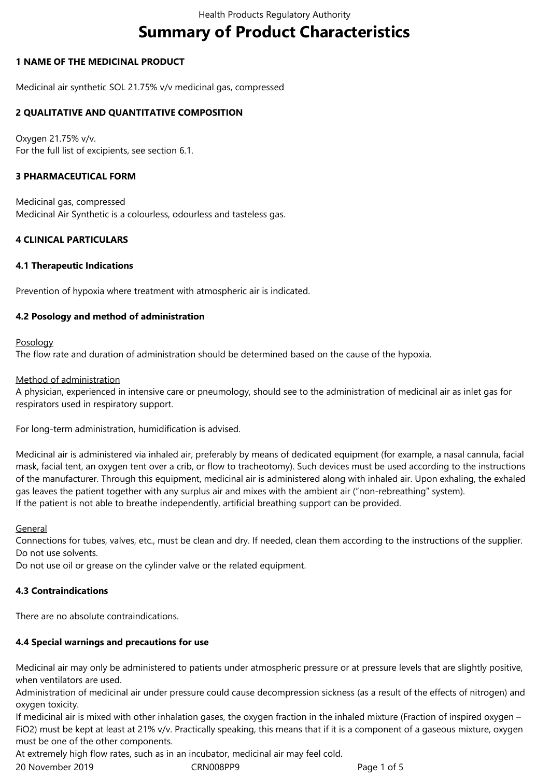# **Summary of Product Characteristics**

## **1 NAME OF THE MEDICINAL PRODUCT**

Medicinal air synthetic SOL 21.75% v/v medicinal gas, compressed

## **2 QUALITATIVE AND QUANTITATIVE COMPOSITION**

Oxygen 21.75% v/v. For the full list of excipients, see section 6.1.

## **3 PHARMACEUTICAL FORM**

Medicinal gas, compressed Medicinal Air Synthetic is a colourless, odourless and tasteless gas.

## **4 CLINICAL PARTICULARS**

### **4.1 Therapeutic Indications**

Prevention of hypoxia where treatment with atmospheric air is indicated.

### **4.2 Posology and method of administration**

#### Posology

The flow rate and duration of administration should be determined based on the cause of the hypoxia.

#### Method of administration

A physician, experienced in intensive care or pneumology, should see to the administration of medicinal air as inlet gas for respirators used in respiratory support.

For long-term administration, humidification is advised.

Medicinal air is administered via inhaled air, preferably by means of dedicated equipment (for example, a nasal cannula, facial mask, facial tent, an oxygen tent over a crib, or flow to tracheotomy). Such devices must be used according to the instructions of the manufacturer. Through this equipment, medicinal air is administered along with inhaled air. Upon exhaling, the exhaled gas leaves the patient together with any surplus air and mixes with the ambient air ("non-rebreathing" system). If the patient is not able to breathe independently, artificial breathing support can be provided.

#### General

Connections for tubes, valves, etc., must be clean and dry. If needed, clean them according to the instructions of the supplier. Do not use solvents.

Do not use oil or grease on the cylinder valve or the related equipment.

## **4.3 Contraindications**

There are no absolute contraindications.

## **4.4 Special warnings and precautions for use**

Medicinal air may only be administered to patients under atmospheric pressure or at pressure levels that are slightly positive, when ventilators are used.

Administration of medicinal air under pressure could cause decompression sickness (as a result of the effects of nitrogen) and oxygen toxicity.

If medicinal air is mixed with other inhalation gases, the oxygen fraction in the inhaled mixture (Fraction of inspired oxygen – FiO2) must be kept at least at 21% v/v. Practically speaking, this means that if it is a component of a gaseous mixture, oxygen must be one of the other components.

At extremely high flow rates, such as in an incubator, medicinal air may feel cold.

20 November 2019 CRN008PP9 Page 1 of 5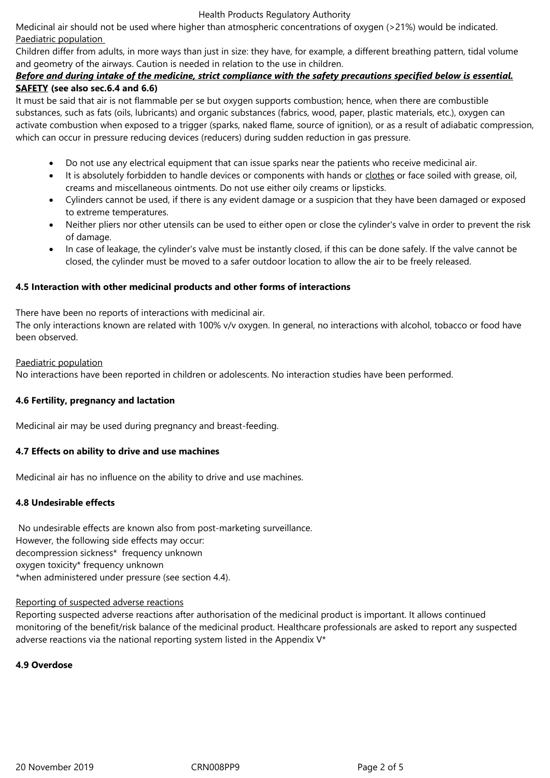#### Health Products Regulatory Authority

Medicinal air should not be used where higher than atmospheric concentrations of oxygen (>21%) would be indicated. Paediatric population

Children differ from adults, in more ways than just in size: they have, for example, a different breathing pattern, tidal volume and geometry of the airways. Caution is needed in relation to the use in children.

# *Before and during intake of the medicine, strict compliance with the safety precautions specified below is essential.* **SAFETY (see also sec.6.4 and 6.6)**

It must be said that air is not flammable per se but oxygen supports combustion; hence, when there are combustible substances, such as fats (oils, lubricants) and organic substances (fabrics, wood, paper, plastic materials, etc.), oxygen can activate combustion when exposed to a trigger (sparks, naked flame, source of ignition), or as a result of adiabatic compression, which can occur in pressure reducing devices (reducers) during sudden reduction in gas pressure.

- Do not use any electrical equipment that can issue sparks near the patients who receive medicinal air.
- It is absolutely forbidden to handle devices or components with hands or clothes or face soiled with grease, oil, creams and miscellaneous ointments. Do not use either oily creams or lipsticks.
- Cylinders cannot be used, if there is any evident damage or a suspicion that they have been damaged or exposed to extreme temperatures.
- Neither pliers nor other utensils can be used to either open or close the cylinder's valve in order to prevent the risk of damage.
- In case of leakage, the cylinder's valve must be instantly closed, if this can be done safely. If the valve cannot be closed, the cylinder must be moved to a safer outdoor location to allow the air to be freely released.

# **4.5 Interaction with other medicinal products and other forms of interactions**

There have been no reports of interactions with medicinal air.

The only interactions known are related with 100% v/v oxygen. In general, no interactions with alcohol, tobacco or food have been observed.

### Paediatric population

No interactions have been reported in children or adolescents. No interaction studies have been performed.

## **4.6 Fertility, pregnancy and lactation**

Medicinal air may be used during pregnancy and breast-feeding.

## **4.7 Effects on ability to drive and use machines**

Medicinal air has no influence on the ability to drive and use machines.

## **4.8 Undesirable effects**

 No undesirable effects are known also from post-marketing surveillance. However, the following side effects may occur: decompression sickness\* frequency unknown oxygen toxicity\* frequency unknown \*when administered under pressure (see section 4.4).

#### Reporting of suspected adverse reactions

Reporting suspected adverse reactions after authorisation of the medicinal product is important. It allows continued monitoring of the benefit/risk balance of the medicinal product. Healthcare professionals are asked to report any suspected adverse reactions via the national reporting system listed in the Appendix V\*

## **4.9 Overdose**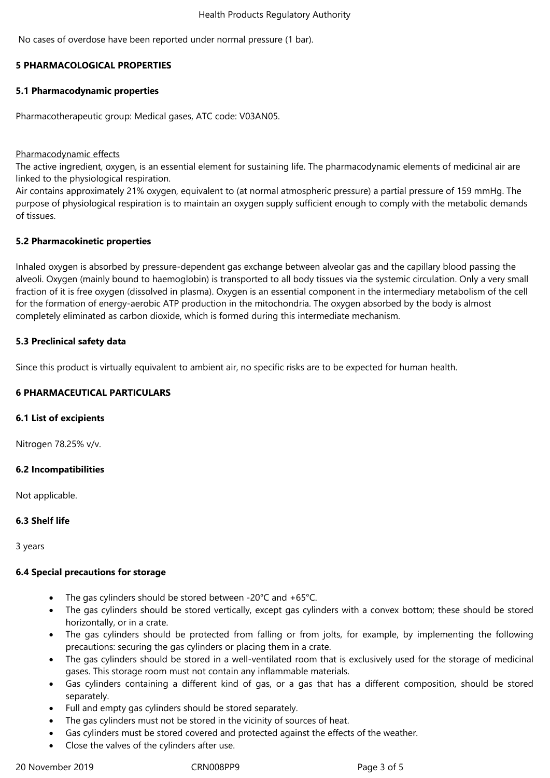No cases of overdose have been reported under normal pressure (1 bar).

## **5 PHARMACOLOGICAL PROPERTIES**

#### **5.1 Pharmacodynamic properties**

Pharmacotherapeutic group: Medical gases, ATC code: V03AN05.

#### Pharmacodynamic effects

The active ingredient, oxygen, is an essential element for sustaining life. The pharmacodynamic elements of medicinal air are linked to the physiological respiration.

Air contains approximately 21% oxygen, equivalent to (at normal atmospheric pressure) a partial pressure of 159 mmHg. The purpose of physiological respiration is to maintain an oxygen supply sufficient enough to comply with the metabolic demands of tissues.

#### **5.2 Pharmacokinetic properties**

Inhaled oxygen is absorbed by pressure-dependent gas exchange between alveolar gas and the capillary blood passing the alveoli. Oxygen (mainly bound to haemoglobin) is transported to all body tissues via the systemic circulation. Only a very small fraction of it is free oxygen (dissolved in plasma). Oxygen is an essential component in the intermediary metabolism of the cell for the formation of energy-aerobic ATP production in the mitochondria. The oxygen absorbed by the body is almost completely eliminated as carbon dioxide, which is formed during this intermediate mechanism.

### **5.3 Preclinical safety data**

Since this product is virtually equivalent to ambient air, no specific risks are to be expected for human health.

## **6 PHARMACEUTICAL PARTICULARS**

#### **6.1 List of excipients**

Nitrogen 78.25% v/v.

#### **6.2 Incompatibilities**

Not applicable.

#### **6.3 Shelf life**

3 years

#### **6.4 Special precautions for storage**

- The gas cylinders should be stored between -20°C and +65°C.
- The gas cylinders should be stored vertically, except gas cylinders with a convex bottom; these should be stored horizontally, or in a crate.
- The gas cylinders should be protected from falling or from jolts, for example, by implementing the following precautions: securing the gas cylinders or placing them in a crate.
- The gas cylinders should be stored in a well-ventilated room that is exclusively used for the storage of medicinal gases. This storage room must not contain any inflammable materials.
- Gas cylinders containing a different kind of gas, or a gas that has a different composition, should be stored separately.
- Full and empty gas cylinders should be stored separately.
- The gas cylinders must not be stored in the vicinity of sources of heat.
- Gas cylinders must be stored covered and protected against the effects of the weather.
	- Close the valves of the cylinders after use.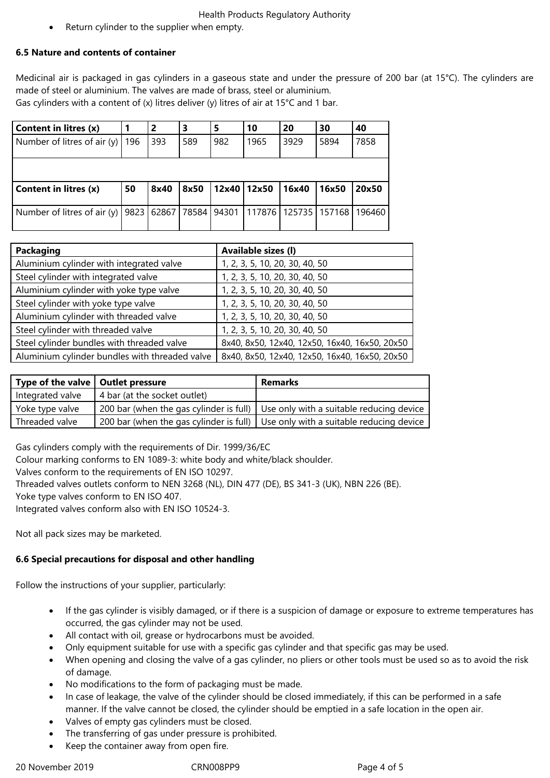## Health Products Regulatory Authority

Return cylinder to the supplier when empty.

## **6.5 Nature and contents of container**

Medicinal air is packaged in gas cylinders in a gaseous state and under the pressure of 200 bar (at 15°C). The cylinders are made of steel or aluminium. The valves are made of brass, steel or aluminium. Gas cylinders with a content of  $(x)$  litres deliver  $(y)$  litres of air at 15°C and 1 bar.

| <b>Content in litres (x)</b>  |     | 2    | З    | 5   | 10                                                      | 20    | 30    | 40     |
|-------------------------------|-----|------|------|-----|---------------------------------------------------------|-------|-------|--------|
| Number of litres of air $(y)$ | 196 | 393  | 589  | 982 | 1965                                                    | 3929  | 5894  | 7858   |
|                               |     |      |      |     |                                                         |       |       |        |
| <b>Content in litres (x)</b>  | 50  | 8x40 | 8x50 |     | 12x40 12x50                                             | 16x40 | 16x50 | 20x50  |
|                               |     |      |      |     |                                                         |       |       | 196460 |
| Number of litres of air $(y)$ |     |      |      |     | 9823   62867   78584   94301   117876   125735   157168 |       |       |        |

| Packaging                                      | Available sizes (I)                           |
|------------------------------------------------|-----------------------------------------------|
| Aluminium cylinder with integrated valve       | 1, 2, 3, 5, 10, 20, 30, 40, 50                |
| Steel cylinder with integrated valve           | 1, 2, 3, 5, 10, 20, 30, 40, 50                |
| Aluminium cylinder with yoke type valve        | 1, 2, 3, 5, 10, 20, 30, 40, 50                |
| Steel cylinder with yoke type valve            | 1, 2, 3, 5, 10, 20, 30, 40, 50                |
| Aluminium cylinder with threaded valve         | 1, 2, 3, 5, 10, 20, 30, 40, 50                |
| Steel cylinder with threaded valve             | 1, 2, 3, 5, 10, 20, 30, 40, 50                |
| Steel cylinder bundles with threaded valve     | 8x40, 8x50, 12x40, 12x50, 16x40, 16x50, 20x50 |
| Aluminium cylinder bundles with threaded valve | 8x40, 8x50, 12x40, 12x50, 16x40, 16x50, 20x50 |

| Type of the valve   Outlet pressure |                              | Remarks                                                                            |
|-------------------------------------|------------------------------|------------------------------------------------------------------------------------|
| Integrated valve                    | 4 bar (at the socket outlet) |                                                                                    |
| Yoke type valve                     |                              | 200 bar (when the gas cylinder is full)   Use only with a suitable reducing device |
| Threaded valve                      |                              | 200 bar (when the gas cylinder is full) Use only with a suitable reducing device   |

Gas cylinders comply with the requirements of Dir. 1999/36/EC

Colour marking conforms to EN 1089-3: white body and white/black shoulder.

Valves conform to the requirements of EN ISO 10297.

Threaded valves outlets conform to NEN 3268 (NL), DIN 477 (DE), BS 341-3 (UK), NBN 226 (BE).

Yoke type valves conform to EN ISO 407.

Integrated valves conform also with EN ISO 10524-3.

Not all pack sizes may be marketed.

## **6.6 Special precautions for disposal and other handling**

Follow the instructions of your supplier, particularly:

- If the gas cylinder is visibly damaged, or if there is a suspicion of damage or exposure to extreme temperatures has occurred, the gas cylinder may not be used.
- All contact with oil, grease or hydrocarbons must be avoided.
- Only equipment suitable for use with a specific gas cylinder and that specific gas may be used.
- When opening and closing the valve of a gas cylinder, no pliers or other tools must be used so as to avoid the risk of damage.
- No modifications to the form of packaging must be made.
- In case of leakage, the valve of the cylinder should be closed immediately, if this can be performed in a safe manner. If the valve cannot be closed, the cylinder should be emptied in a safe location in the open air.
- Valves of empty gas cylinders must be closed.
- The transferring of gas under pressure is prohibited.
- Keep the container away from open fire.